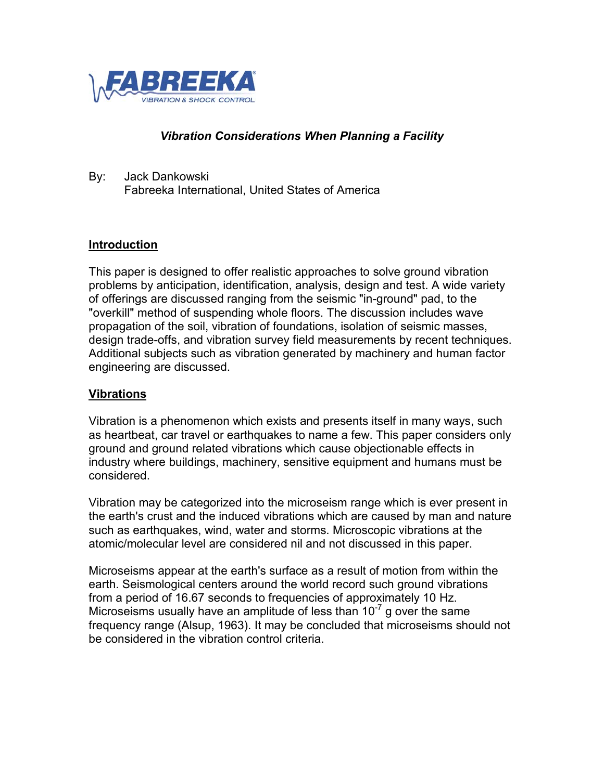

### *Vibration Considerations When Planning a Facility*

By: Jack Dankowski Fabreeka International, United States of America

#### **Introduction**

This paper is designed to offer realistic approaches to solve ground vibration problems by anticipation, identification, analysis, design and test. A wide variety of offerings are discussed ranging from the seismic "in-ground" pad, to the "overkill" method of suspending whole floors. The discussion includes wave propagation of the soil, vibration of foundations, isolation of seismic masses, design trade-offs, and vibration survey field measurements by recent techniques. Additional subjects such as vibration generated by machinery and human factor engineering are discussed.

#### **Vibrations**

Vibration is a phenomenon which exists and presents itself in many ways, such as heartbeat, car travel or earthquakes to name a few. This paper considers only ground and ground related vibrations which cause objectionable effects in industry where buildings, machinery, sensitive equipment and humans must be considered.

Vibration may be categorized into the microseism range which is ever present in the earth's crust and the induced vibrations which are caused by man and nature such as earthquakes, wind, water and storms. Microscopic vibrations at the atomic/molecular level are considered nil and not discussed in this paper.

Microseisms appear at the earth's surface as a result of motion from within the earth. Seismological centers around the world record such ground vibrations from a period of 16.67 seconds to frequencies of approximately 10 Hz. Microseisms usually have an amplitude of less than  $10^{-7}$  g over the same frequency range (Alsup, 1963). It may be concluded that microseisms should not be considered in the vibration control criteria.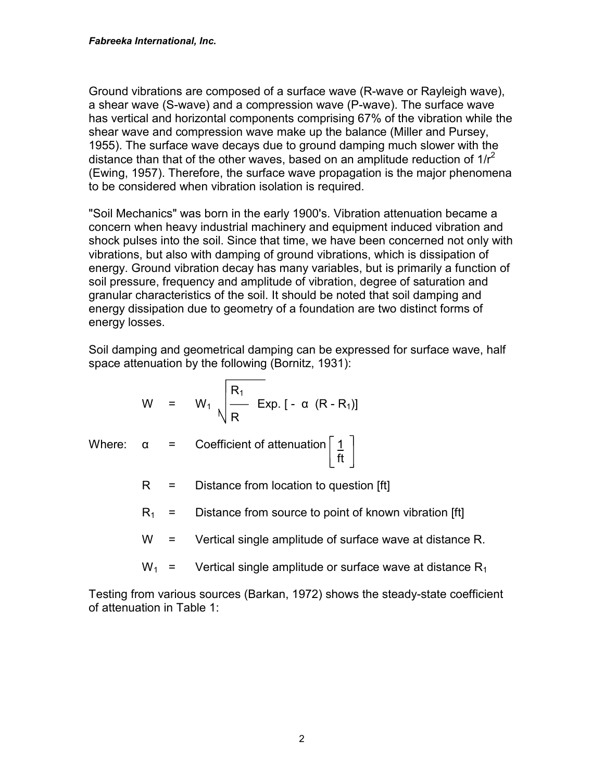Ground vibrations are composed of a surface wave (R-wave or Rayleigh wave), a shear wave (S-wave) and a compression wave (P-wave). The surface wave has vertical and horizontal components comprising 67% of the vibration while the shear wave and compression wave make up the balance (Miller and Pursey, 1955). The surface wave decays due to ground damping much slower with the distance than that of the other waves, based on an amplitude reduction of  $1/r^2$ (Ewing, 1957). Therefore, the surface wave propagation is the major phenomena to be considered when vibration isolation is required.

"Soil Mechanics" was born in the early 1900's. Vibration attenuation became a concern when heavy industrial machinery and equipment induced vibration and shock pulses into the soil. Since that time, we have been concerned not only with vibrations, but also with damping of ground vibrations, which is dissipation of energy. Ground vibration decay has many variables, but is primarily a function of soil pressure, frequency and amplitude of vibration, degree of saturation and granular characteristics of the soil. It should be noted that soil damping and energy dissipation due to geometry of a foundation are two distinct forms of energy losses.

Soil damping and geometrical damping can be expressed for surface wave, half space attenuation by the following (Bornitz, 1931):

$$
W = W_1 \sqrt{\frac{R_1}{R}} \text{ Exp. } [-\alpha (R - R_1)]
$$

- Where:  $\alpha$  = Coefficient of attenuation | 1 ft
	- $R =$  Distance from location to question [ft]
	- $R_1$  = Distance from source to point of known vibration [ft]
	- W = Vertical single amplitude of surface wave at distance R.
	- $W_1$  = Vertical single amplitude or surface wave at distance R<sub>1</sub>

Testing from various sources (Barkan, 1972) shows the steady-state coefficient of attenuation in Table 1: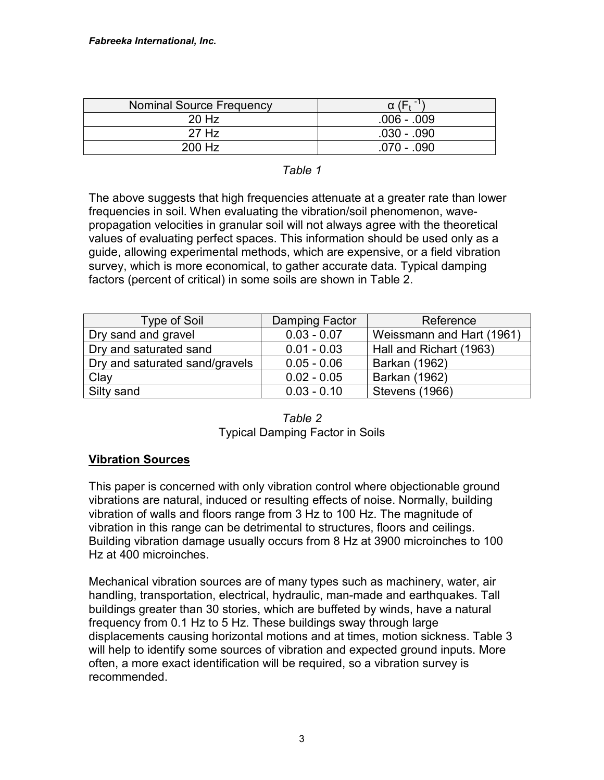| Nominal Source Frequency |               |
|--------------------------|---------------|
| 20 Hz                    | $.006 - .009$ |
| 27 Hz                    | .030 - .090   |
| 200 Hz                   | .070 - .090   |

#### *Table 1*

The above suggests that high frequencies attenuate at a greater rate than lower frequencies in soil. When evaluating the vibration/soil phenomenon, wavepropagation velocities in granular soil will not always agree with the theoretical values of evaluating perfect spaces. This information should be used only as a guide, allowing experimental methods, which are expensive, or a field vibration survey, which is more economical, to gather accurate data. Typical damping factors (percent of critical) in some soils are shown in Table 2.

| <b>Type of Soil</b>            | Damping Factor | Reference                 |
|--------------------------------|----------------|---------------------------|
| Dry sand and gravel            | $0.03 - 0.07$  | Weissmann and Hart (1961) |
| Dry and saturated sand         | $0.01 - 0.03$  | Hall and Richart (1963)   |
| Dry and saturated sand/gravels | $0.05 - 0.06$  | Barkan (1962)             |
| Clay                           | $0.02 - 0.05$  | Barkan (1962)             |
| Silty sand                     | $0.03 - 0.10$  | <b>Stevens (1966)</b>     |

| Table 2                                |
|----------------------------------------|
| <b>Typical Damping Factor in Soils</b> |

## **Vibration Sources**

This paper is concerned with only vibration control where objectionable ground vibrations are natural, induced or resulting effects of noise. Normally, building vibration of walls and floors range from 3 Hz to 100 Hz. The magnitude of vibration in this range can be detrimental to structures, floors and ceilings. Building vibration damage usually occurs from 8 Hz at 3900 microinches to 100 Hz at 400 microinches.

Mechanical vibration sources are of many types such as machinery, water, air handling, transportation, electrical, hydraulic, man-made and earthquakes. Tall buildings greater than 30 stories, which are buffeted by winds, have a natural frequency from 0.1 Hz to 5 Hz. These buildings sway through large displacements causing horizontal motions and at times, motion sickness. Table 3 will help to identify some sources of vibration and expected ground inputs. More often, a more exact identification will be required, so a vibration survey is recommended.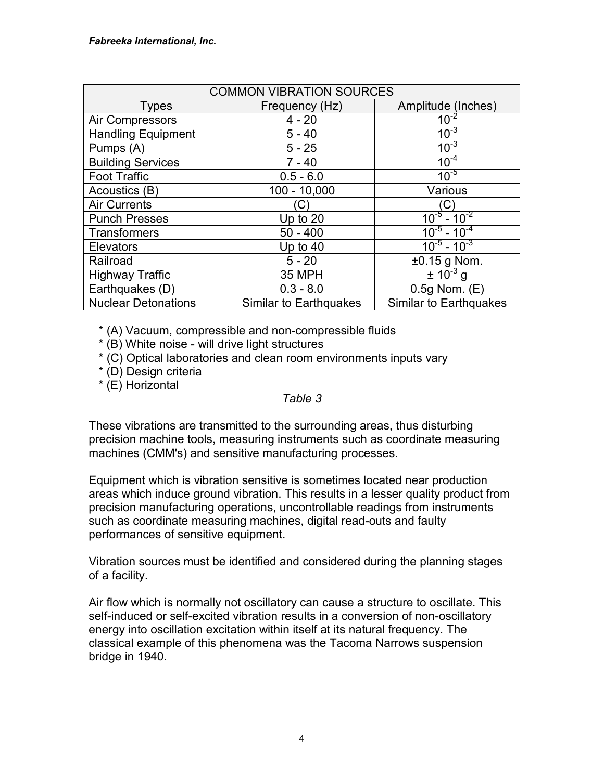| <b>COMMON VIBRATION SOURCES</b> |                               |                              |  |
|---------------------------------|-------------------------------|------------------------------|--|
| <b>Types</b>                    | Frequency (Hz)                | Amplitude (Inches)           |  |
| Air Compressors                 | $4 - 20$                      | $10^{-2}$                    |  |
| <b>Handling Equipment</b>       | $5 - 40$                      | $10^{-3}$                    |  |
| Pumps (A)                       | $5 - 25$                      | $10^{-3}$                    |  |
| <b>Building Services</b>        | $7 - 40$                      | $10^{-4}$                    |  |
| <b>Foot Traffic</b>             | $0.5 - 6.0$                   | $10^{-5}$                    |  |
| Acoustics (B)                   | $100 - 10,000$                | Various                      |  |
| <b>Air Currents</b>             | C.                            | (C)                          |  |
| <b>Punch Presses</b>            | Up to $20$                    | $10^{-5} - 10^{-2}$          |  |
| Transformers                    | $50 - 400$                    | $10^{-5}$ - 10 <sup>-4</sup> |  |
| Elevators                       | Up to $40$                    | $10^{-5}$ - $10^{-3}$        |  |
| Railroad                        | $5 - 20$                      | $\pm 0.15$ g Nom.            |  |
| <b>Highway Traffic</b>          | <b>35 MPH</b>                 | $\pm 10^{-3}$ g              |  |
| Earthquakes (D)                 | $0.3 - 8.0$                   | $0.5g$ Nom. $(E)$            |  |
| <b>Nuclear Detonations</b>      | <b>Similar to Earthquakes</b> | Similar to Earthquakes       |  |

\* (A) Vacuum, compressible and non-compressible fluids

\* (B) White noise - will drive light structures

\* (C) Optical laboratories and clean room environments inputs vary

\* (D) Design criteria

\* (E) Horizontal

#### *Table 3*

These vibrations are transmitted to the surrounding areas, thus disturbing precision machine tools, measuring instruments such as coordinate measuring machines (CMM's) and sensitive manufacturing processes.

Equipment which is vibration sensitive is sometimes located near production areas which induce ground vibration. This results in a lesser quality product from precision manufacturing operations, uncontrollable readings from instruments such as coordinate measuring machines, digital read-outs and faulty performances of sensitive equipment.

Vibration sources must be identified and considered during the planning stages of a facility.

Air flow which is normally not oscillatory can cause a structure to oscillate. This self-induced or self-excited vibration results in a conversion of non-oscillatory energy into oscillation excitation within itself at its natural frequency. The classical example of this phenomena was the Tacoma Narrows suspension bridge in 1940.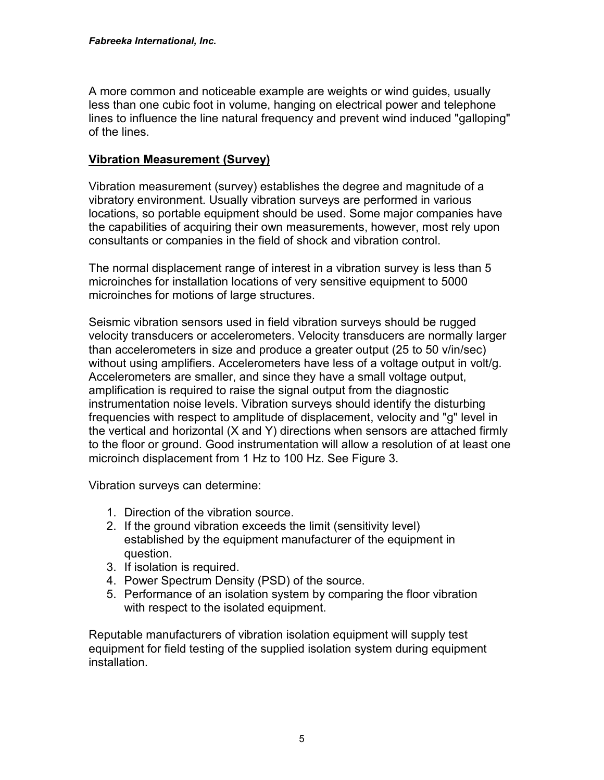A more common and noticeable example are weights or wind guides, usually less than one cubic foot in volume, hanging on electrical power and telephone lines to influence the line natural frequency and prevent wind induced "galloping" of the lines.

## **Vibration Measurement (Survey)**

Vibration measurement (survey) establishes the degree and magnitude of a vibratory environment. Usually vibration surveys are performed in various locations, so portable equipment should be used. Some major companies have the capabilities of acquiring their own measurements, however, most rely upon consultants or companies in the field of shock and vibration control.

The normal displacement range of interest in a vibration survey is less than 5 microinches for installation locations of very sensitive equipment to 5000 microinches for motions of large structures.

Seismic vibration sensors used in field vibration surveys should be rugged velocity transducers or accelerometers. Velocity transducers are normally larger than accelerometers in size and produce a greater output (25 to 50 v/in/sec) without using amplifiers. Accelerometers have less of a voltage output in volt/g. Accelerometers are smaller, and since they have a small voltage output, amplification is required to raise the signal output from the diagnostic instrumentation noise levels. Vibration surveys should identify the disturbing frequencies with respect to amplitude of displacement, velocity and "g" level in the vertical and horizontal (X and Y) directions when sensors are attached firmly to the floor or ground. Good instrumentation will allow a resolution of at least one microinch displacement from 1 Hz to 100 Hz. See Figure 3.

Vibration surveys can determine:

- 1. Direction of the vibration source.
- 2. If the ground vibration exceeds the limit (sensitivity level) established by the equipment manufacturer of the equipment in question.
- 3. If isolation is required.
- 4. Power Spectrum Density (PSD) of the source.
- 5. Performance of an isolation system by comparing the floor vibration with respect to the isolated equipment.

Reputable manufacturers of vibration isolation equipment will supply test equipment for field testing of the supplied isolation system during equipment installation.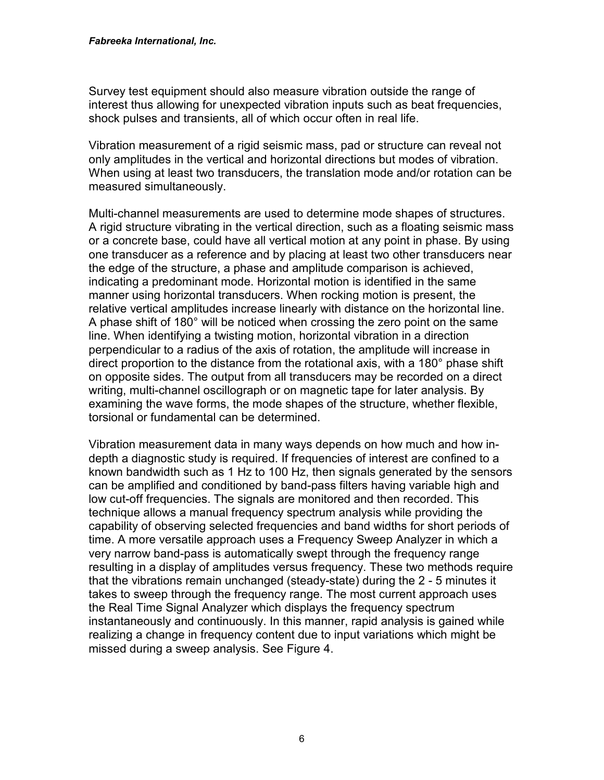Survey test equipment should also measure vibration outside the range of interest thus allowing for unexpected vibration inputs such as beat frequencies, shock pulses and transients, all of which occur often in real life.

Vibration measurement of a rigid seismic mass, pad or structure can reveal not only amplitudes in the vertical and horizontal directions but modes of vibration. When using at least two transducers, the translation mode and/or rotation can be measured simultaneously.

Multi-channel measurements are used to determine mode shapes of structures. A rigid structure vibrating in the vertical direction, such as a floating seismic mass or a concrete base, could have all vertical motion at any point in phase. By using one transducer as a reference and by placing at least two other transducers near the edge of the structure, a phase and amplitude comparison is achieved, indicating a predominant mode. Horizontal motion is identified in the same manner using horizontal transducers. When rocking motion is present, the relative vertical amplitudes increase linearly with distance on the horizontal line. A phase shift of 180° will be noticed when crossing the zero point on the same line. When identifying a twisting motion, horizontal vibration in a direction perpendicular to a radius of the axis of rotation, the amplitude will increase in direct proportion to the distance from the rotational axis, with a 180° phase shift on opposite sides. The output from all transducers may be recorded on a direct writing, multi-channel oscillograph or on magnetic tape for later analysis. By examining the wave forms, the mode shapes of the structure, whether flexible, torsional or fundamental can be determined.

Vibration measurement data in many ways depends on how much and how indepth a diagnostic study is required. If frequencies of interest are confined to a known bandwidth such as 1 Hz to 100 Hz, then signals generated by the sensors can be amplified and conditioned by band-pass filters having variable high and low cut-off frequencies. The signals are monitored and then recorded. This technique allows a manual frequency spectrum analysis while providing the capability of observing selected frequencies and band widths for short periods of time. A more versatile approach uses a Frequency Sweep Analyzer in which a very narrow band-pass is automatically swept through the frequency range resulting in a display of amplitudes versus frequency. These two methods require that the vibrations remain unchanged (steady-state) during the 2 - 5 minutes it takes to sweep through the frequency range. The most current approach uses the Real Time Signal Analyzer which displays the frequency spectrum instantaneously and continuously. In this manner, rapid analysis is gained while realizing a change in frequency content due to input variations which might be missed during a sweep analysis. See Figure 4.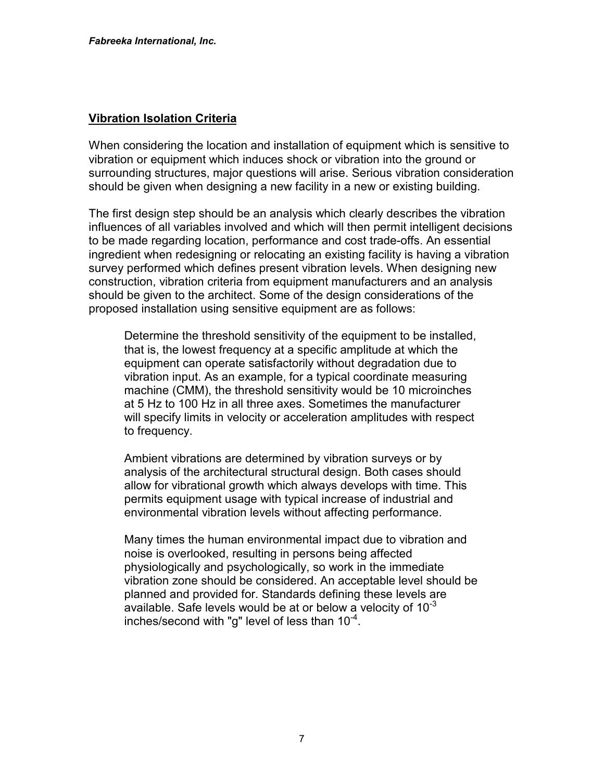#### **Vibration Isolation Criteria**

When considering the location and installation of equipment which is sensitive to vibration or equipment which induces shock or vibration into the ground or surrounding structures, major questions will arise. Serious vibration consideration should be given when designing a new facility in a new or existing building.

The first design step should be an analysis which clearly describes the vibration influences of all variables involved and which will then permit intelligent decisions to be made regarding location, performance and cost trade-offs. An essential ingredient when redesigning or relocating an existing facility is having a vibration survey performed which defines present vibration levels. When designing new construction, vibration criteria from equipment manufacturers and an analysis should be given to the architect. Some of the design considerations of the proposed installation using sensitive equipment are as follows:

Determine the threshold sensitivity of the equipment to be installed, that is, the lowest frequency at a specific amplitude at which the equipment can operate satisfactorily without degradation due to vibration input. As an example, for a typical coordinate measuring machine (CMM), the threshold sensitivity would be 10 microinches at 5 Hz to 100 Hz in all three axes. Sometimes the manufacturer will specify limits in velocity or acceleration amplitudes with respect to frequency.

Ambient vibrations are determined by vibration surveys or by analysis of the architectural structural design. Both cases should allow for vibrational growth which always develops with time. This permits equipment usage with typical increase of industrial and environmental vibration levels without affecting performance.

Many times the human environmental impact due to vibration and noise is overlooked, resulting in persons being affected physiologically and psychologically, so work in the immediate vibration zone should be considered. An acceptable level should be planned and provided for. Standards defining these levels are available. Safe levels would be at or below a velocity of  $10^{-3}$ inches/second with "g" level of less than  $10^{-4}$ .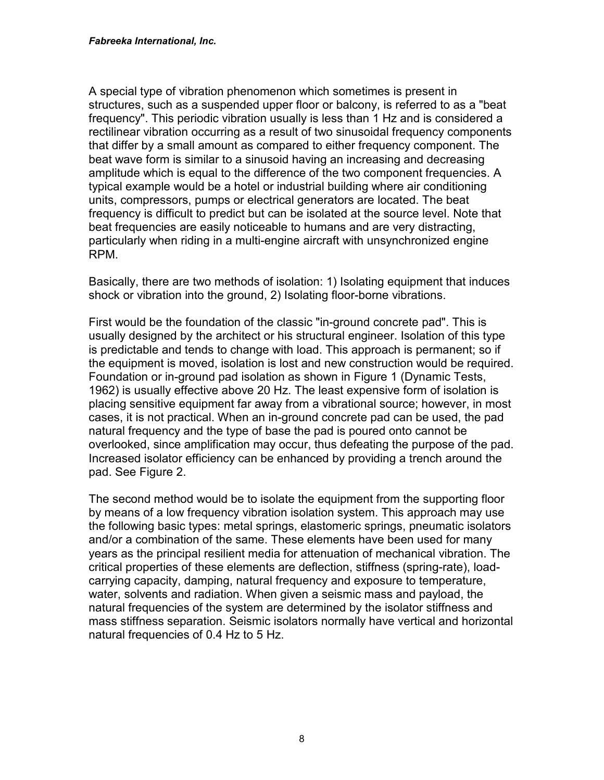A special type of vibration phenomenon which sometimes is present in structures, such as a suspended upper floor or balcony, is referred to as a "beat frequency". This periodic vibration usually is less than 1 Hz and is considered a rectilinear vibration occurring as a result of two sinusoidal frequency components that differ by a small amount as compared to either frequency component. The beat wave form is similar to a sinusoid having an increasing and decreasing amplitude which is equal to the difference of the two component frequencies. A typical example would be a hotel or industrial building where air conditioning units, compressors, pumps or electrical generators are located. The beat frequency is difficult to predict but can be isolated at the source level. Note that beat frequencies are easily noticeable to humans and are very distracting, particularly when riding in a multi-engine aircraft with unsynchronized engine RPM.

Basically, there are two methods of isolation: 1) Isolating equipment that induces shock or vibration into the ground, 2) Isolating floor-borne vibrations.

First would be the foundation of the classic "in-ground concrete pad". This is usually designed by the architect or his structural engineer. Isolation of this type is predictable and tends to change with load. This approach is permanent; so if the equipment is moved, isolation is lost and new construction would be required. Foundation or in-ground pad isolation as shown in Figure 1 (Dynamic Tests, 1962) is usually effective above 20 Hz. The least expensive form of isolation is placing sensitive equipment far away from a vibrational source; however, in most cases, it is not practical. When an in-ground concrete pad can be used, the pad natural frequency and the type of base the pad is poured onto cannot be overlooked, since amplification may occur, thus defeating the purpose of the pad. Increased isolator efficiency can be enhanced by providing a trench around the pad. See Figure 2.

The second method would be to isolate the equipment from the supporting floor by means of a low frequency vibration isolation system. This approach may use the following basic types: metal springs, elastomeric springs, pneumatic isolators and/or a combination of the same. These elements have been used for many years as the principal resilient media for attenuation of mechanical vibration. The critical properties of these elements are deflection, stiffness (spring-rate), loadcarrying capacity, damping, natural frequency and exposure to temperature, water, solvents and radiation. When given a seismic mass and payload, the natural frequencies of the system are determined by the isolator stiffness and mass stiffness separation. Seismic isolators normally have vertical and horizontal natural frequencies of 0.4 Hz to 5 Hz.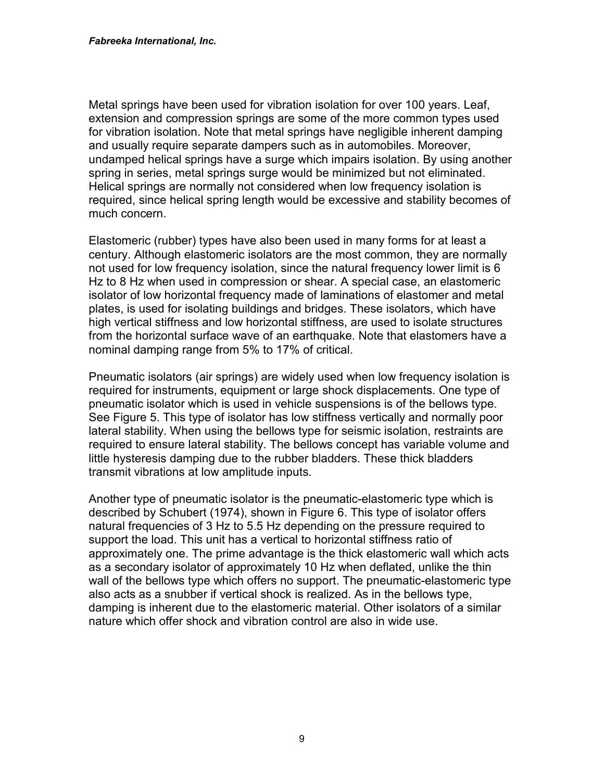Metal springs have been used for vibration isolation for over 100 years. Leaf, extension and compression springs are some of the more common types used for vibration isolation. Note that metal springs have negligible inherent damping and usually require separate dampers such as in automobiles. Moreover, undamped helical springs have a surge which impairs isolation. By using another spring in series, metal springs surge would be minimized but not eliminated. Helical springs are normally not considered when low frequency isolation is required, since helical spring length would be excessive and stability becomes of much concern.

Elastomeric (rubber) types have also been used in many forms for at least a century. Although elastomeric isolators are the most common, they are normally not used for low frequency isolation, since the natural frequency lower limit is 6 Hz to 8 Hz when used in compression or shear. A special case, an elastomeric isolator of low horizontal frequency made of laminations of elastomer and metal plates, is used for isolating buildings and bridges. These isolators, which have high vertical stiffness and low horizontal stiffness, are used to isolate structures from the horizontal surface wave of an earthquake. Note that elastomers have a nominal damping range from 5% to 17% of critical.

Pneumatic isolators (air springs) are widely used when low frequency isolation is required for instruments, equipment or large shock displacements. One type of pneumatic isolator which is used in vehicle suspensions is of the bellows type. See Figure 5. This type of isolator has low stiffness vertically and normally poor lateral stability. When using the bellows type for seismic isolation, restraints are required to ensure lateral stability. The bellows concept has variable volume and little hysteresis damping due to the rubber bladders. These thick bladders transmit vibrations at low amplitude inputs.

Another type of pneumatic isolator is the pneumatic-elastomeric type which is described by Schubert (1974), shown in Figure 6. This type of isolator offers natural frequencies of 3 Hz to 5.5 Hz depending on the pressure required to support the load. This unit has a vertical to horizontal stiffness ratio of approximately one. The prime advantage is the thick elastomeric wall which acts as a secondary isolator of approximately 10 Hz when deflated, unlike the thin wall of the bellows type which offers no support. The pneumatic-elastomeric type also acts as a snubber if vertical shock is realized. As in the bellows type, damping is inherent due to the elastomeric material. Other isolators of a similar nature which offer shock and vibration control are also in wide use.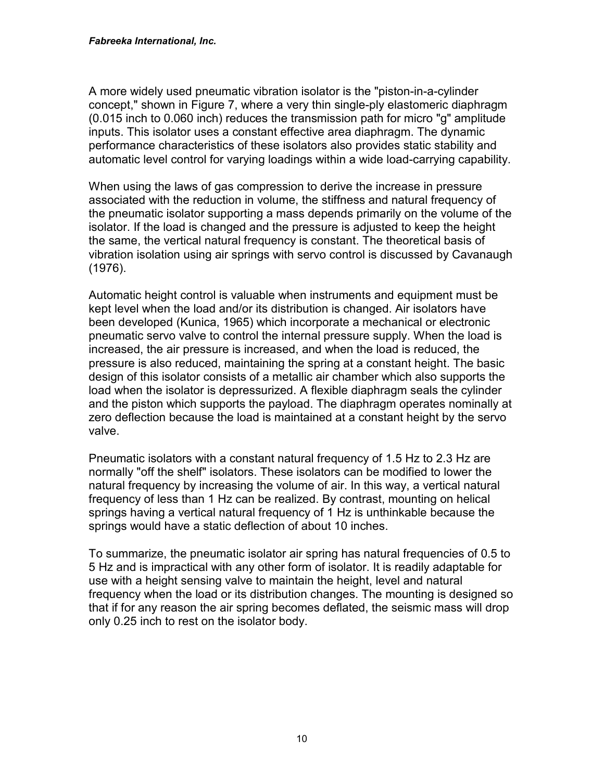A more widely used pneumatic vibration isolator is the "piston-in-a-cylinder concept," shown in Figure 7, where a very thin single-ply elastomeric diaphragm (0.015 inch to 0.060 inch) reduces the transmission path for micro "g" amplitude inputs. This isolator uses a constant effective area diaphragm. The dynamic performance characteristics of these isolators also provides static stability and automatic level control for varying loadings within a wide load-carrying capability.

When using the laws of gas compression to derive the increase in pressure associated with the reduction in volume, the stiffness and natural frequency of the pneumatic isolator supporting a mass depends primarily on the volume of the isolator. If the load is changed and the pressure is adjusted to keep the height the same, the vertical natural frequency is constant. The theoretical basis of vibration isolation using air springs with servo control is discussed by Cavanaugh (1976).

Automatic height control is valuable when instruments and equipment must be kept level when the load and/or its distribution is changed. Air isolators have been developed (Kunica, 1965) which incorporate a mechanical or electronic pneumatic servo valve to control the internal pressure supply. When the load is increased, the air pressure is increased, and when the load is reduced, the pressure is also reduced, maintaining the spring at a constant height. The basic design of this isolator consists of a metallic air chamber which also supports the load when the isolator is depressurized. A flexible diaphragm seals the cylinder and the piston which supports the payload. The diaphragm operates nominally at zero deflection because the load is maintained at a constant height by the servo valve.

Pneumatic isolators with a constant natural frequency of 1.5 Hz to 2.3 Hz are normally "off the shelf" isolators. These isolators can be modified to lower the natural frequency by increasing the volume of air. In this way, a vertical natural frequency of less than 1 Hz can be realized. By contrast, mounting on helical springs having a vertical natural frequency of 1 Hz is unthinkable because the springs would have a static deflection of about 10 inches.

To summarize, the pneumatic isolator air spring has natural frequencies of 0.5 to 5 Hz and is impractical with any other form of isolator. It is readily adaptable for use with a height sensing valve to maintain the height, level and natural frequency when the load or its distribution changes. The mounting is designed so that if for any reason the air spring becomes deflated, the seismic mass will drop only 0.25 inch to rest on the isolator body.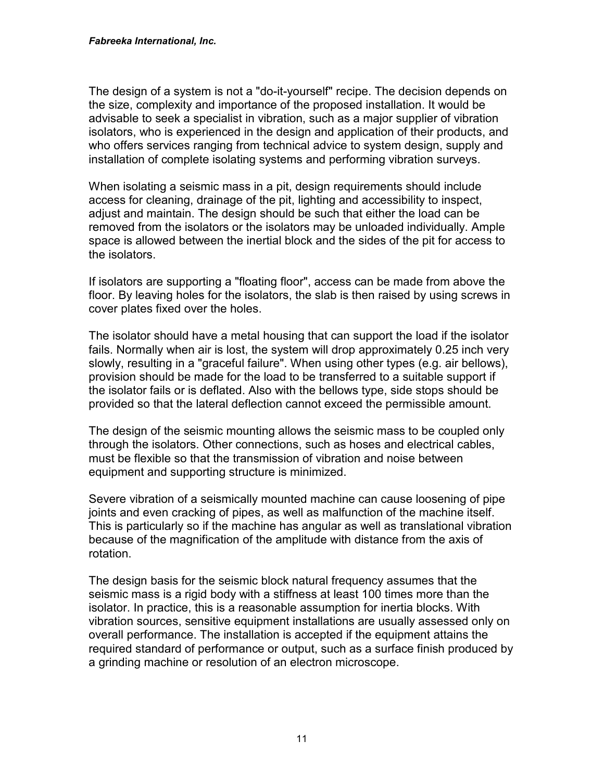The design of a system is not a "do-it-yourself" recipe. The decision depends on the size, complexity and importance of the proposed installation. It would be advisable to seek a specialist in vibration, such as a major supplier of vibration isolators, who is experienced in the design and application of their products, and who offers services ranging from technical advice to system design, supply and installation of complete isolating systems and performing vibration surveys.

When isolating a seismic mass in a pit, design requirements should include access for cleaning, drainage of the pit, lighting and accessibility to inspect, adjust and maintain. The design should be such that either the load can be removed from the isolators or the isolators may be unloaded individually. Ample space is allowed between the inertial block and the sides of the pit for access to the isolators.

If isolators are supporting a "floating floor", access can be made from above the floor. By leaving holes for the isolators, the slab is then raised by using screws in cover plates fixed over the holes.

The isolator should have a metal housing that can support the load if the isolator fails. Normally when air is lost, the system will drop approximately 0.25 inch very slowly, resulting in a "graceful failure". When using other types (e.g. air bellows), provision should be made for the load to be transferred to a suitable support if the isolator fails or is deflated. Also with the bellows type, side stops should be provided so that the lateral deflection cannot exceed the permissible amount.

The design of the seismic mounting allows the seismic mass to be coupled only through the isolators. Other connections, such as hoses and electrical cables, must be flexible so that the transmission of vibration and noise between equipment and supporting structure is minimized.

Severe vibration of a seismically mounted machine can cause loosening of pipe joints and even cracking of pipes, as well as malfunction of the machine itself. This is particularly so if the machine has angular as well as translational vibration because of the magnification of the amplitude with distance from the axis of rotation.

The design basis for the seismic block natural frequency assumes that the seismic mass is a rigid body with a stiffness at least 100 times more than the isolator. In practice, this is a reasonable assumption for inertia blocks. With vibration sources, sensitive equipment installations are usually assessed only on overall performance. The installation is accepted if the equipment attains the required standard of performance or output, such as a surface finish produced by a grinding machine or resolution of an electron microscope.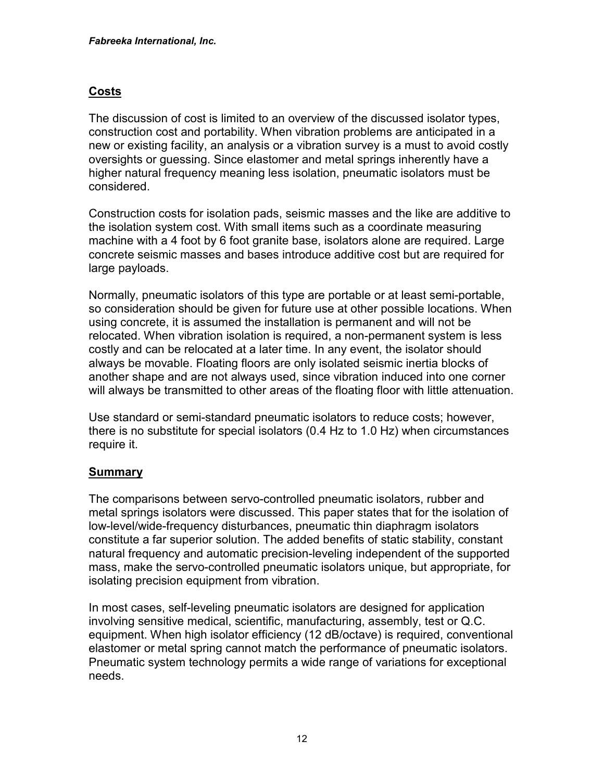## **Costs**

The discussion of cost is limited to an overview of the discussed isolator types, construction cost and portability. When vibration problems are anticipated in a new or existing facility, an analysis or a vibration survey is a must to avoid costly oversights or guessing. Since elastomer and metal springs inherently have a higher natural frequency meaning less isolation, pneumatic isolators must be considered.

Construction costs for isolation pads, seismic masses and the like are additive to the isolation system cost. With small items such as a coordinate measuring machine with a 4 foot by 6 foot granite base, isolators alone are required. Large concrete seismic masses and bases introduce additive cost but are required for large payloads.

Normally, pneumatic isolators of this type are portable or at least semi-portable, so consideration should be given for future use at other possible locations. When using concrete, it is assumed the installation is permanent and will not be relocated. When vibration isolation is required, a non-permanent system is less costly and can be relocated at a later time. In any event, the isolator should always be movable. Floating floors are only isolated seismic inertia blocks of another shape and are not always used, since vibration induced into one corner will always be transmitted to other areas of the floating floor with little attenuation.

Use standard or semi-standard pneumatic isolators to reduce costs; however, there is no substitute for special isolators (0.4 Hz to 1.0 Hz) when circumstances require it.

## **Summary**

The comparisons between servo-controlled pneumatic isolators, rubber and metal springs isolators were discussed. This paper states that for the isolation of low-level/wide-frequency disturbances, pneumatic thin diaphragm isolators constitute a far superior solution. The added benefits of static stability, constant natural frequency and automatic precision-leveling independent of the supported mass, make the servo-controlled pneumatic isolators unique, but appropriate, for isolating precision equipment from vibration.

In most cases, self-leveling pneumatic isolators are designed for application involving sensitive medical, scientific, manufacturing, assembly, test or Q.C. equipment. When high isolator efficiency (12 dB/octave) is required, conventional elastomer or metal spring cannot match the performance of pneumatic isolators. Pneumatic system technology permits a wide range of variations for exceptional needs.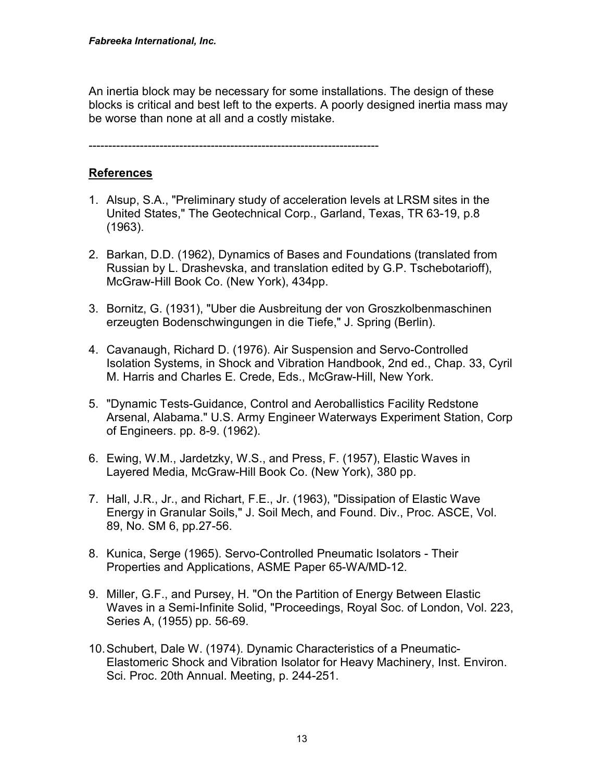An inertia block may be necessary for some installations. The design of these blocks is critical and best left to the experts. A poorly designed inertia mass may be worse than none at all and a costly mistake.

--------------------------------------------------------------------------

## **References**

- 1. Alsup, S.A., "Preliminary study of acceleration levels at LRSM sites in the United States," The Geotechnical Corp., Garland, Texas, TR 63-19, p.8 (1963).
- 2. Barkan, D.D. (1962), Dynamics of Bases and Foundations (translated from Russian by L. Drashevska, and translation edited by G.P. Tschebotarioff), McGraw-Hill Book Co. (New York), 434pp.
- 3. Bornitz, G. (1931), "Uber die Ausbreitung der von Groszkolbenmaschinen erzeugten Bodenschwingungen in die Tiefe," J. Spring (Berlin).
- 4. Cavanaugh, Richard D. (1976). Air Suspension and Servo-Controlled Isolation Systems, in Shock and Vibration Handbook, 2nd ed., Chap. 33, Cyril M. Harris and Charles E. Crede, Eds., McGraw-Hill, New York.
- 5. "Dynamic Tests-Guidance, Control and Aeroballistics Facility Redstone Arsenal, Alabama." U.S. Army Engineer Waterways Experiment Station, Corp of Engineers. pp. 8-9. (1962).
- 6. Ewing, W.M., Jardetzky, W.S., and Press, F. (1957), Elastic Waves in Layered Media, McGraw-Hill Book Co. (New York), 380 pp.
- 7. Hall, J.R., Jr., and Richart, F.E., Jr. (1963), "Dissipation of Elastic Wave Energy in Granular Soils," J. Soil Mech, and Found. Div., Proc. ASCE, Vol. 89, No. SM 6, pp.27-56.
- 8. Kunica, Serge (1965). Servo-Controlled Pneumatic Isolators Their Properties and Applications, ASME Paper 65-WA/MD-12.
- 9. Miller, G.F., and Pursey, H. "On the Partition of Energy Between Elastic Waves in a Semi-Infinite Solid, "Proceedings, Royal Soc. of London, Vol. 223, Series A, (1955) pp. 56-69.
- 10. Schubert, Dale W. (1974). Dynamic Characteristics of a Pneumatic-Elastomeric Shock and Vibration Isolator for Heavy Machinery, Inst. Environ. Sci. Proc. 20th Annual. Meeting, p. 244-251.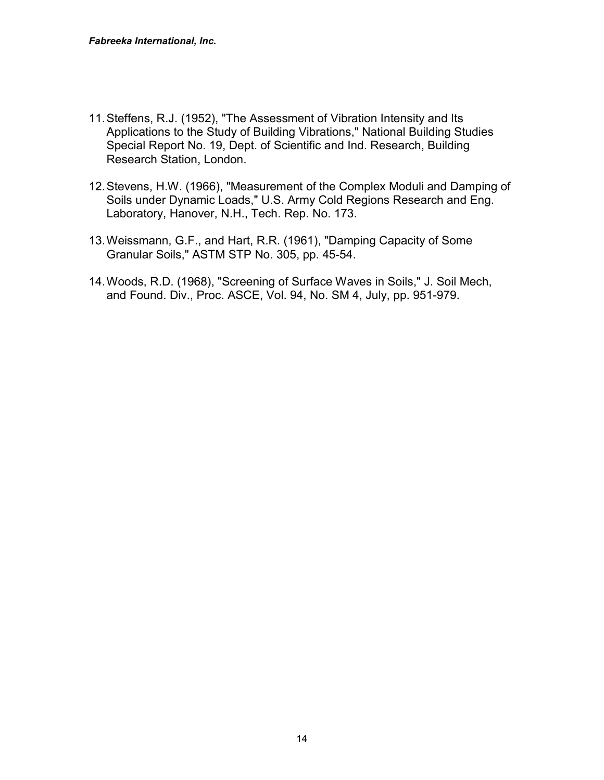- 11. Steffens, R.J. (1952), "The Assessment of Vibration Intensity and Its Applications to the Study of Building Vibrations," National Building Studies Special Report No. 19, Dept. of Scientific and Ind. Research, Building Research Station, London.
- 12. Stevens, H.W. (1966), "Measurement of the Complex Moduli and Damping of Soils under Dynamic Loads," U.S. Army Cold Regions Research and Eng. Laboratory, Hanover, N.H., Tech. Rep. No. 173.
- 13. Weissmann, G.F., and Hart, R.R. (1961), "Damping Capacity of Some Granular Soils," ASTM STP No. 305, pp. 45-54.
- 14. Woods, R.D. (1968), "Screening of Surface Waves in Soils," J. Soil Mech, and Found. Div., Proc. ASCE, Vol. 94, No. SM 4, July, pp. 951-979.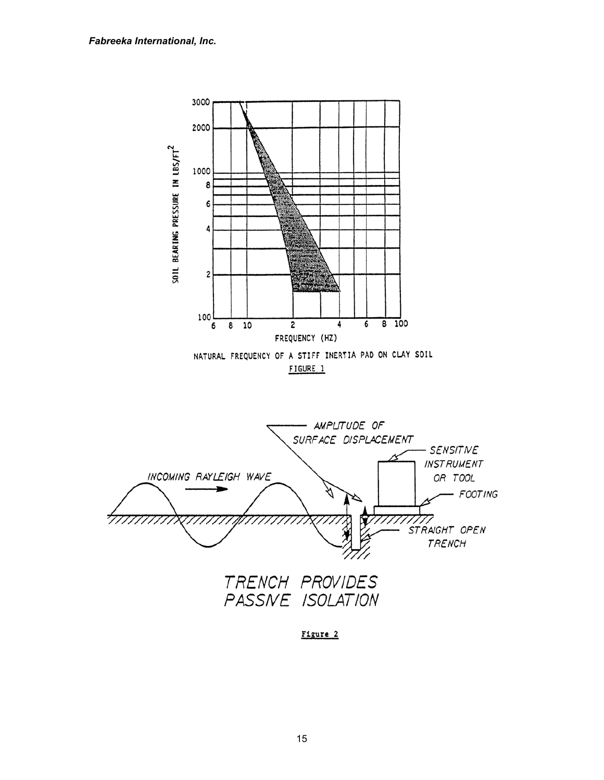

15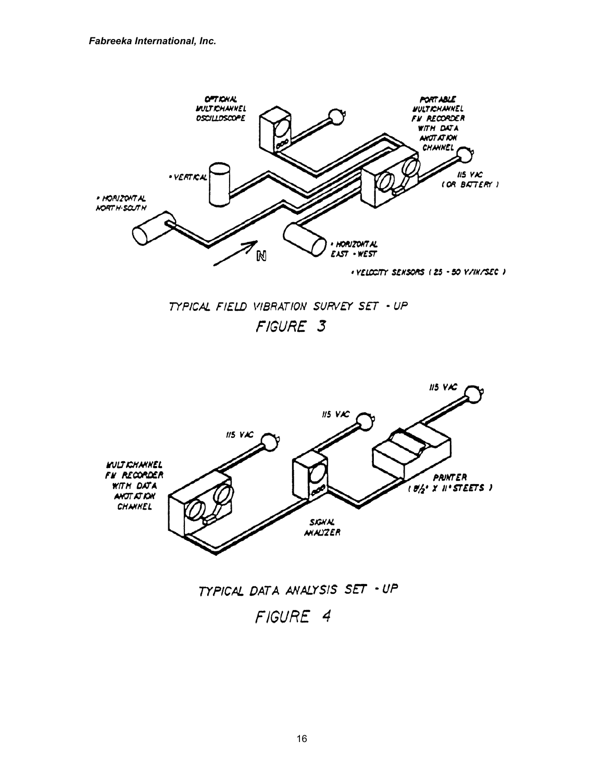

TYPICAL FIELD VIBRATION SURVEY SET - UP FIGURE 3



# TYPICAL DATA ANALYSIS SET - UP

FIGURE 4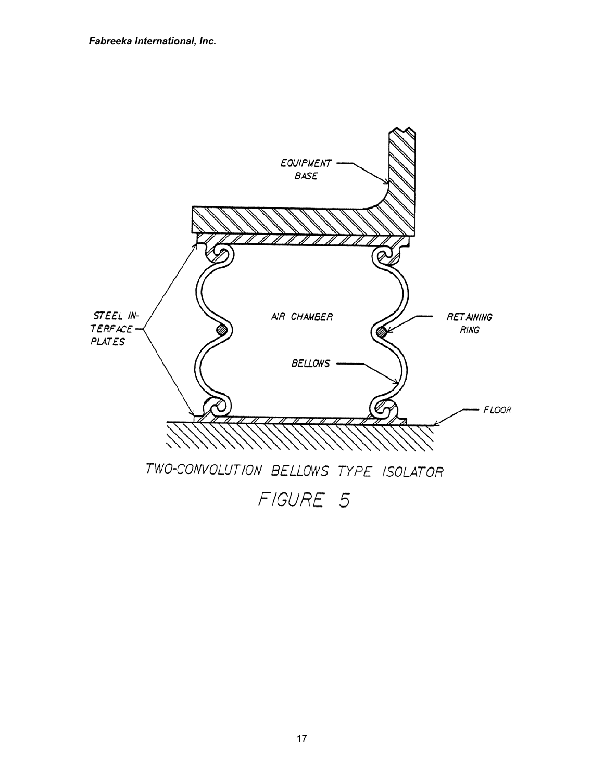

17